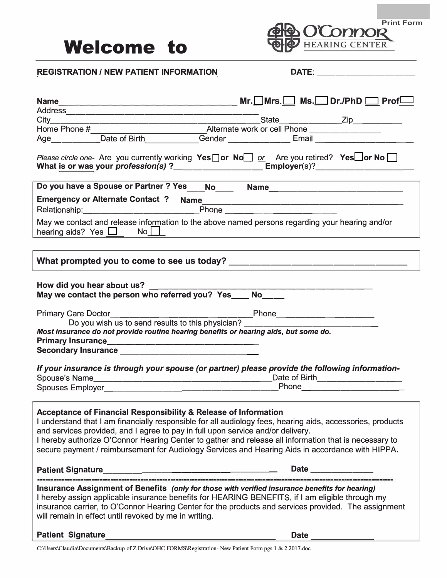

| <b>REGISTRATION / NEW PATIENT INFORMATION</b>                                                                                                                                                                                                                                                                                                                                                                                                                                            | DATE:<br><u> 1989 - Johann Barbara, martxa alemani</u> ar a            |
|------------------------------------------------------------------------------------------------------------------------------------------------------------------------------------------------------------------------------------------------------------------------------------------------------------------------------------------------------------------------------------------------------------------------------------------------------------------------------------------|------------------------------------------------------------------------|
|                                                                                                                                                                                                                                                                                                                                                                                                                                                                                          | $Mr. \Box Mrs. \Box Ms. \Box Dr. \mathsf{PhD} \Box \mathsf{Prof} \Box$ |
|                                                                                                                                                                                                                                                                                                                                                                                                                                                                                          |                                                                        |
|                                                                                                                                                                                                                                                                                                                                                                                                                                                                                          |                                                                        |
|                                                                                                                                                                                                                                                                                                                                                                                                                                                                                          |                                                                        |
| Please circle one- Are you currently working Yes or No $\Box$ or Are you retired? Yes or No $\Box$<br>What is or was your profession(s) ?____________________________Employer(s)?_________________________                                                                                                                                                                                                                                                                               |                                                                        |
| Do you have a Spouse or Partner ? Yes ___No____ Name____________________________                                                                                                                                                                                                                                                                                                                                                                                                         |                                                                        |
|                                                                                                                                                                                                                                                                                                                                                                                                                                                                                          |                                                                        |
| May we contact and release information to the above named persons regarding your hearing and/or                                                                                                                                                                                                                                                                                                                                                                                          |                                                                        |
|                                                                                                                                                                                                                                                                                                                                                                                                                                                                                          |                                                                        |
| Do you wish us to send results to this physician? ______________________________<br>Most insurance do not provide routine hearing benefits or hearing aids, but some do.<br>Secondary Insurance <u>______________________________</u><br>If your insurance is through your spouse (or partner) please provide the following information-                                                                                                                                                 | Date of Birth _______________                                          |
| <b>Acceptance of Financial Responsibility &amp; Release of Information</b><br>I understand that I am financially responsible for all audiology fees, hearing aids, accessories, products<br>and services provided, and I agree to pay in full upon service and/or delivery.<br>I hereby authorize O'Connor Hearing Center to gather and release all information that is necessary to<br>secure payment / reimbursement for Audiology Services and Hearing Aids in accordance with HIPPA. |                                                                        |
|                                                                                                                                                                                                                                                                                                                                                                                                                                                                                          | Date ____________                                                      |
| Insurance Assignment of Benefits (only for those with verified insurance benefits for hearing)<br>I hereby assign applicable insurance benefits for HEARING BENEFITS, if I am eligible through my<br>insurance carrier, to O'Connor Hearing Center for the products and services provided. The assignment<br>will remain in effect until revoked by me in writing.                                                                                                                       |                                                                        |
| Patient Signature                                                                                                                                                                                                                                                                                                                                                                                                                                                                        | Date                                                                   |